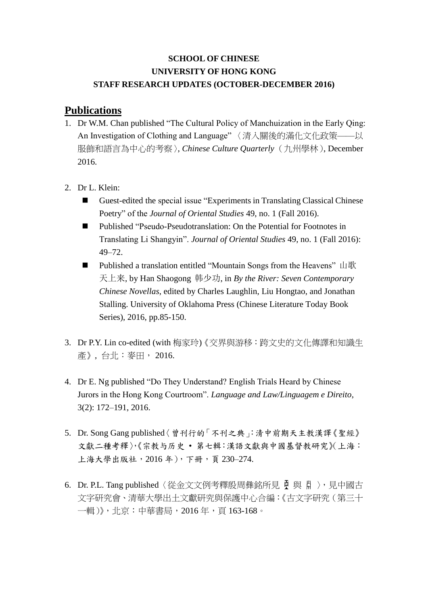### **SCHOOL OF CHINESE UNIVERSITY OF HONG KONG STAFF RESEARCH UPDATES (OCTOBER-DECEMBER 2016)**

#### **Publications**

- 1. Dr W.M. Chan published "The Cultural Policy of Manchuization in the Early Qing: An Investigation of Clothing and Language" 〈清入關後的滿化文化政策——以 服飾和語言為中心的考察〉, *Chinese Culture Quarterly*(九州學林), December 2016.
- 2. Dr L. Klein:
	- Guest-edited the special issue "Experiments in Translating Classical Chinese Poetry" of the *Journal of Oriental Studies* 49, no. 1 (Fall 2016).
	- Published "Pseudo-Pseudotranslation: On the Potential for Footnotes in Translating Li Shangyin". *Journal of Oriental Studies* 49, no. 1 (Fall 2016): 49–72.
	- Published a translation entitled "Mountain Songs from the Heavens" 山歌 天上来, by Han Shaogong 韩少功, in *By the River: Seven Contemporary Chinese Novellas*, edited by Charles Laughlin, Liu Hongtao, and Jonathan Stalling. University of Oklahoma Press (Chinese Literature Today Book Series), 2016, pp.85-150.
- 3. Dr P.Y. Lin co-edited (with 梅家玲)《交界與游移:跨文史的文化傳譯和知識生 產》, 台北:麥田, 2016.
- 4. Dr E. Ng published "Do They Understand? English Trials Heard by Chinese Jurors in the Hong Kong Courtroom". *Language and Law/Linguagem e Direito*, 3(2): 172–191, 2016.
- 5. Dr. Song Gang published〈曾刊行的「不刊之典」:清中前期天主教漢譯《聖經》 文獻二種考釋〉,《宗教与历史 • 第七輯:漢語文獻與中國基督教研究》(上海: 上海大學出版社,2016 年),下冊,頁 230–274.
- 6. Dr. P.L. Tang published〈從金文文例考釋殷周彝銘所見 中與 # 〉,見中國古 文字研究會、清華大學出土文獻研究與保護中心合編:《古文字研究(第三十 一輯)》,北京:中華書局,2016 年,頁 163-168。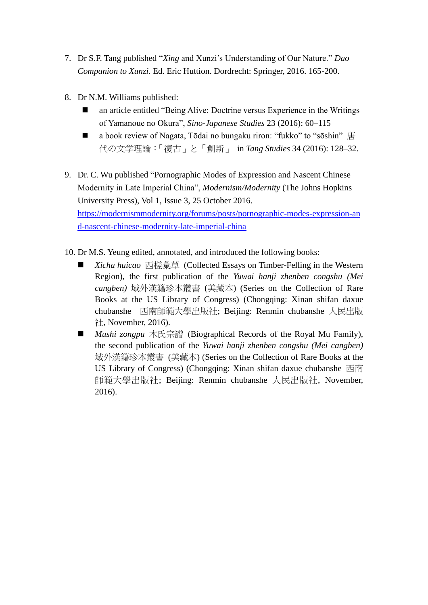- 7. Dr S.F. Tang published "*Xing* and Xunzi's Understanding of Our Nature." *Dao Companion to Xunzi*. Ed. Eric Huttion. Dordrecht: Springer, 2016. 165-200.
- 8. Dr N.M. Williams published:
	- an article entitled "Being Alive: Doctrine versus Experience in the Writings of Yamanoue no Okura", *Sino-Japanese Studies* 23 (2016): 60–115
	- a book review of Nagata, Tōdai no bungaku riron: "fukko" to "sōshin" 唐 代の文学理論:「復古」と「創新」 in *Tang Studies* 34 (2016): 128–32.
- 9. Dr. C. Wu published "Pornographic Modes of Expression and Nascent Chinese Modernity in Late Imperial China", *Modernism/Modernity* (The Johns Hopkins University Press), Vol 1, Issue 3, 25 October 2016. [https://modernismmodernity.org/forums/posts/pornographic-modes-expression-an](https://modernismmodernity.org/forums/posts/pornographic-modes-expression-and-nascent-chinese-modernity-late-imperial-china) [d-nascent-chinese-modernity-late-imperial-china](https://modernismmodernity.org/forums/posts/pornographic-modes-expression-and-nascent-chinese-modernity-late-imperial-china)
- 10. Dr M.S. Yeung edited, annotated, and introduced the following books:
	- *Xicha huicao* 西槎彙草 (Collected Essays on Timber-Felling in the Western Region), the first publication of the *Yuwai hanji zhenben congshu (Mei cangben)* 域外漢籍珍本叢書 (美藏本) (Series on the Collection of Rare Books at the US Library of Congress) (Chongqing: Xinan shifan daxue chubanshe 西南師範大學出版社; Beijing: Renmin chubanshe 人民出版 社, November, 2016).
	- *Mushi zongpu* 木氏宗譜 (Biographical Records of the Royal Mu Family), the second publication of the *Yuwai hanji zhenben congshu (Mei cangben)* 域外漢籍珍本叢書 (美藏本) (Series on the Collection of Rare Books at the US Library of Congress) (Chongqing: Xinan shifan daxue chubanshe 西南 師範大學出版社; Beijing: Renmin chubanshe 人民出版社, November, 2016).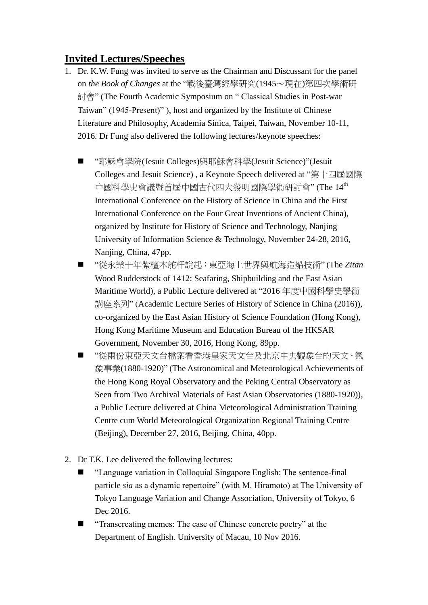# **Invited Lectures/Speeches**

- 1. Dr. K.W. Fung was invited to serve as the Chairman and Discussant for the panel on *the Book of Changes* at the "戰後臺灣經學研究(1945~現在)第四次學術研 討會" (The Fourth Academic Symposium on " Classical Studies in Post-war Taiwan" (1945-Present)" ), host and organized by the Institute of Chinese Literature and Philosophy, Academia Sinica, Taipei, Taiwan, November 10-11, 2016. Dr Fung also delivered the following lectures/keynote speeches:
	- "耶穌會學院(Jesuit Colleges)與耶穌會科學(Jesuit Science)"(Jesuit Colleges and Jesuit Science) , a Keynote Speech delivered at "第十四屆國際 中國科學史會議暨首屆中國古代四大發明國際學術研討會" (The 14<sup>th</sup> International Conference on the History of Science in China and the First International Conference on the Four Great Inventions of Ancient China), organized by Institute for History of Science and Technology, Nanjing University of Information Science & Technology, November 24-28, 2016, Nanjing, China, 47pp.
	- "從永樂十年紫檀木舵杆說起:東亞海上世界與航海造船技術" (The *Zitan* Wood Rudderstock of 1412: Seafaring, Shipbuilding and the East Asian Maritime World), a Public Lecture delivered at "2016 年度中國科學史學術 講座系列" (Academic Lecture Series of History of Science in China (2016)), co-organized by the East Asian History of Science Foundation (Hong Kong), Hong Kong Maritime Museum and Education Bureau of the HKSAR Government, November 30, 2016, Hong Kong, 89pp.
	- "從兩份東亞天文台檔案看香港皇家天文台及北京中央觀象台的天文、氣 象事業(1880-1920)" (The Astronomical and Meteorological Achievements of the Hong Kong Royal Observatory and the Peking Central Observatory as Seen from Two Archival Materials of East Asian Observatories (1880-1920)), a Public Lecture delivered at China Meteorological Administration Training Centre cum World Meteorological Organization Regional Training Centre (Beijing), December 27, 2016, Beijing, China, 40pp.
- 2. Dr T.K. Lee delivered the following lectures:
	- "Language variation in Colloquial Singapore English: The sentence-final particle *sia* as a dynamic repertoire" (with M. Hiramoto) at The University of Tokyo Language Variation and Change Association, University of Tokyo, 6 Dec 2016.
	- **Transcreating memes:** The case of Chinese concrete poetry" at the Department of English. University of Macau, 10 Nov 2016.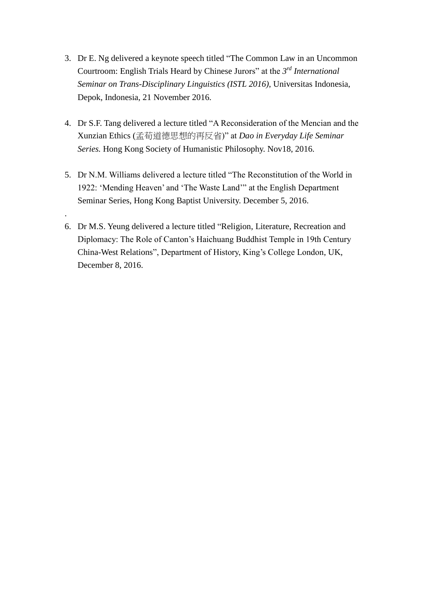- 3. Dr E. Ng delivered a keynote speech titled "The Common Law in an Uncommon Courtroom: English Trials Heard by Chinese Jurors" at the *3 rd International Seminar on Trans-Disciplinary Linguistics (ISTL 2016)*, Universitas Indonesia, Depok, Indonesia, 21 November 2016.
- 4. Dr S.F. Tang delivered a lecture titled "A Reconsideration of the Mencian and the Xunzian Ethics (孟荀道德思想的再反省)" at *Dao in Everyday Life Seminar Series.* Hong Kong Society of Humanistic Philosophy. Nov18, 2016.
- 5. Dr N.M. Williams delivered a lecture titled "The Reconstitution of the World in 1922: 'Mending Heaven' and 'The Waste Land'" at the English Department Seminar Series, Hong Kong Baptist University. December 5, 2016.

.

6. Dr M.S. Yeung delivered a lecture titled "Religion, Literature, Recreation and Diplomacy: The Role of Canton's Haichuang Buddhist Temple in 19th Century China-West Relations", Department of History, King's College London, UK, December 8, 2016.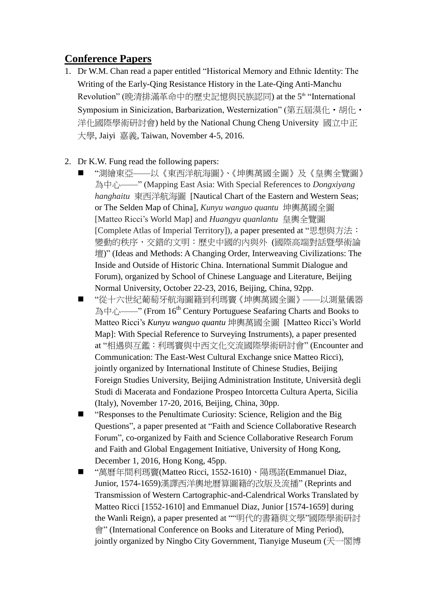## **Conference Papers**

- 1. Dr W.M. Chan read a paper entitled "Historical Memory and Ethnic Identity: The Writing of the Early-Qing Resistance History in the Late-Qing Anti-Manchu Revolution" (晩清排滿革命中的歷史記憶與民族認同) at the 5<sup>th</sup> "International Symposium in Sinicization, Barbarization, Westernization" (第五屆漠化‧胡化‧ 洋化國際學術研討會) held by the National Chung Cheng University 國立中正 大學, Jaiyi 嘉義, Taiwan, November 4-5, 2016.
- 2. Dr K.W. Fung read the following papers:
	- "測繪東亞——以《東西洋航海圖》、《坤輿萬國全圖》及《皇輿全覽圖》 為中心——" (Mapping East Asia: With Special References to *Dongxiyang hanghaitu* 東西洋航海圖 [Nautical Chart of the Eastern and Western Seas; or The Selden Map of China], *Kunyu wanguo quantu* 坤輿萬國全圖 [Matteo Ricci's World Map] and *Huangyu quanlantu* 皇輿全覽圖 [Complete Atlas of Imperial Territory]), a paper presented at "思想與方法: 變動的秩序,交錯的文明:歷史中國的內與外 (國際高端對話暨學術論 壇)" (Ideas and Methods: A Changing Order, Interweaving Civilizations: The Inside and Outside of Historic China. International Summit Dialogue and Forum), organized by School of Chinese Language and Literature, Beijing Normal University, October 22-23, 2016, Beijing, China, 92pp.
	- "從十六世紀葡萄牙航海圖籍到利瑪竇《坤輿萬國全圖》——以測量儀器 為中心——" (From 16<sup>th</sup> Century Portuguese Seafaring Charts and Books to Matteo Ricci's *Kunyu wanguo quantu* 坤輿萬國全圖 [Matteo Ricci's World Map]: With Special Reference to Surveying Instruments), a paper presented at "相遇與互鑑:利瑪竇與中西文化交流國際學術研討會" (Encounter and Communication: The East-West Cultural Exchange snice Matteo Ricci), jointly organized by International Institute of Chinese Studies, Beijing Foreign Studies University, Beijing Administration Institute, Università degli Studi di Macerata and Fondazione Prospeo Intorcetta Cultura Aperta, Sicilia (Italy), November 17-20, 2016, Beijing, China, 30pp.
	- **EXECUTE:** "Responses to the Penultimate Curiosity: Science, Religion and the Big Questions", a paper presented at "Faith and Science Collaborative Research Forum", co-organized by Faith and Science Collaborative Research Forum and Faith and Global Engagement Initiative, University of Hong Kong, December 1, 2016, Hong Kong, 45pp.
	- "萬曆年間利瑪竇(Matteo Ricci, 1552-1610)、陽瑪諾(Emmanuel Diaz, Junior, 1574-1659)漢譯西洋輿地曆算圖籍的改版及流播" (Reprints and Transmission of Western Cartographic-and-Calendrical Works Translated by Matteo Ricci [1552-1610] and Emmanuel Diaz, Junior [1574-1659] during the Wanli Reign), a paper presented at ""明代的書籍與文學"國際學術研討 會" (International Conference on Books and Literature of Ming Period), jointly organized by Ningbo City Government, Tianyige Museum (天一閣博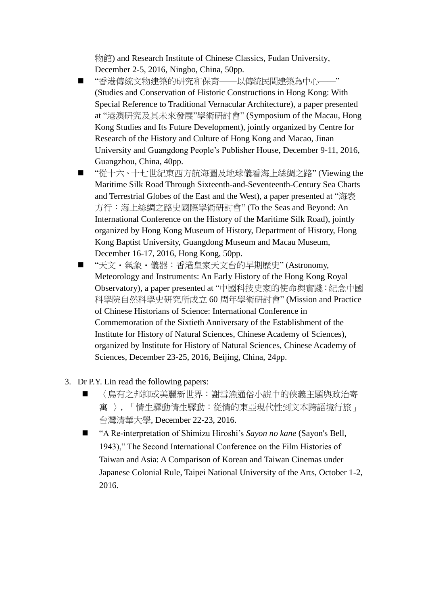物館) and Research Institute of Chinese Classics, Fudan University, December 2-5, 2016, Ningbo, China, 50pp.

- "香港傳統文物建築的研究和保育——以傳統民間建築為中心—— (Studies and Conservation of Historic Constructions in Hong Kong: With Special Reference to Traditional Vernacular Architecture), a paper presented at "港澳研究及其未來發展"學術研討會" (Symposium of the Macau, Hong Kong Studies and Its Future Development), jointly organized by Centre for Research of the History and Culture of Hong Kong and Macao, Jinan University and Guangdong People's Publisher House, December 9-11, 2016, Guangzhou, China, 40pp.
- "從十六、十七世紀東西方航海圖及地球儀看海上絲綢之路" (Viewing the Maritime Silk Road Through Sixteenth-and-Seventeenth-Century Sea Charts and Terrestrial Globes of the East and the West), a paper presented at "海表 方行:海上絲綢之路史國際學術研討會" (To the Seas and Beyond: An International Conference on the History of the Maritime Silk Road), jointly organized by Hong Kong Museum of History, Department of History, Hong Kong Baptist University, Guangdong Museum and Macau Museum, December 16-17, 2016, Hong Kong, 50pp.
- "天文·氣象·儀器:香港皇家天文台的早期歷史" (Astronomy, Meteorology and Instruments: An Early History of the Hong Kong Royal Observatory), a paper presented at "中國科技史家的使命與實踐:紀念中國 科學院自然科學史研究所成立 60 周年學術研討會" (Mission and Practice of Chinese Historians of Science: International Conference in Commemoration of the Sixtieth Anniversary of the Establishment of the Institute for History of Natural Sciences, Chinese Academy of Sciences), organized by Institute for History of Natural Sciences, Chinese Academy of Sciences, December 23-25, 2016, Beijing, China, 24pp.
- 3. Dr P.Y. Lin read the following papers:
	- 〈烏有之邦抑或美麗新世界:謝雪漁通俗小說中的俠義主題與政治寄 寓 〉, 「情生驛動情生驛動:從情的東亞現代性到文本跨語境行旅」 台灣清華大學, December 22-23, 2016.
	- "A Re-interpretation of Shimizu Hiroshi's *Sayon no kane* (Sayon's Bell, 1943)," The Second International Conference on the Film Histories of Taiwan and Asia: A Comparison of Korean and Taiwan Cinemas under Japanese Colonial Rule, Taipei National University of the Arts, October 1-2, 2016.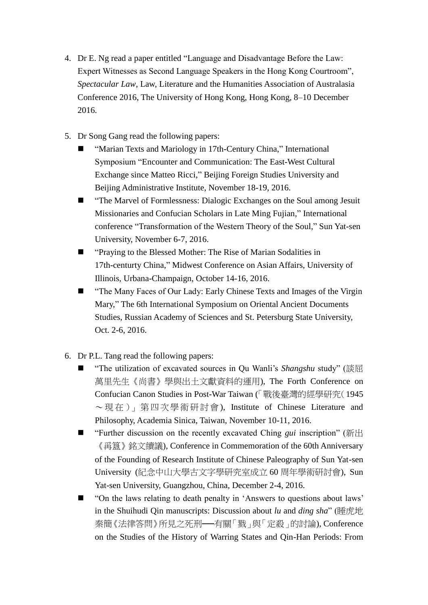- 4. Dr E. Ng read a paper entitled "Language and Disadvantage Before the Law: Expert Witnesses as Second Language Speakers in the Hong Kong Courtroom", *Spectacular Law*, Law, Literature and the Humanities Association of Australasia Conference 2016, The University of Hong Kong, Hong Kong, 8–10 December 2016.
- 5. Dr Song Gang read the following papers:
	- "Marian Texts and Mariology in 17th-Century China," International Symposium "Encounter and Communication: The East-West Cultural Exchange since Matteo Ricci," Beijing Foreign Studies University and Beijing Administrative Institute, November 18-19, 2016.
	- "The Marvel of Formlessness: Dialogic Exchanges on the Soul among Jesuit Missionaries and Confucian Scholars in Late Ming Fujian," International conference "Transformation of the Western Theory of the Soul," Sun Yat-sen University, November 6-7, 2016.
	- "Praying to the Blessed Mother: The Rise of Marian Sodalities in 17th-centurty China," Midwest Conference on Asian Affairs, University of Illinois, Urbana-Champaign, October 14-16, 2016.
	- "The Many Faces of Our Lady: Early Chinese Texts and Images of the Virgin Mary," The 6th International Symposium on Oriental Ancient Documents Studies, Russian Academy of Sciences and St. Petersburg State University, Oct. 2-6, 2016.
- 6. Dr P.L. Tang read the following papers:
	- "The utilization of excavated sources in Qu Wanli's *Shangshu* study" (談屈 萬里先生《尚書》學與出土文獻資料的運用), The Forth Conference on Confucian Canon Studies in Post-War Taiwan (「戰後臺灣的經學研究(1945 ~現在)」第四次學術研討會 ), Institute of Chinese Literature and Philosophy, Academia Sinica, Taiwan, November 10-11, 2016.
	- "Further discussion on the recently excavated Ching *gui* inscription" (新出 《爯簋》銘文續議), Conference in Commemoration of the 60th Anniversary of the Founding of Research Institute of Chinese Paleography of Sun Yat-sen University (紀念中山大學古文字學研究室成立 60 周年學術研討會), Sun Yat-sen University, Guangzhou, China, December 2-4, 2016.
	- "On the laws relating to death penalty in 'Answers to questions about laws' in the Shuihudi Qin manuscripts: Discussion about *lu* and *ding sha*" (睡虎地 秦簡《法律答問》所見之死刑──有關「戮」與「定殺」的討論), Conference on the Studies of the History of Warring States and Qin-Han Periods: From